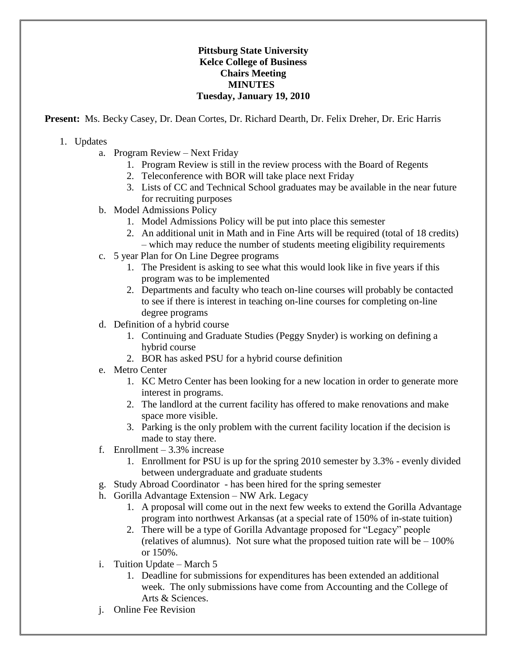## **Pittsburg State University Kelce College of Business Chairs Meeting MINUTES Tuesday, January 19, 2010**

**Present:** Ms. Becky Casey, Dr. Dean Cortes, Dr. Richard Dearth, Dr. Felix Dreher, Dr. Eric Harris

- 1. Updates
	- a. Program Review Next Friday
		- 1. Program Review is still in the review process with the Board of Regents
		- 2. Teleconference with BOR will take place next Friday
		- 3. Lists of CC and Technical School graduates may be available in the near future for recruiting purposes
	- b. Model Admissions Policy
		- 1. Model Admissions Policy will be put into place this semester
		- 2. An additional unit in Math and in Fine Arts will be required (total of 18 credits) – which may reduce the number of students meeting eligibility requirements
	- c. 5 year Plan for On Line Degree programs
		- 1. The President is asking to see what this would look like in five years if this program was to be implemented
		- 2. Departments and faculty who teach on-line courses will probably be contacted to see if there is interest in teaching on-line courses for completing on-line degree programs
	- d. Definition of a hybrid course
		- 1. Continuing and Graduate Studies (Peggy Snyder) is working on defining a hybrid course
		- 2. BOR has asked PSU for a hybrid course definition
	- e. Metro Center
		- 1. KC Metro Center has been looking for a new location in order to generate more interest in programs.
		- 2. The landlord at the current facility has offered to make renovations and make space more visible.
		- 3. Parking is the only problem with the current facility location if the decision is made to stay there.
	- f. Enrollment  $-3.3\%$  increase
		- 1. Enrollment for PSU is up for the spring 2010 semester by 3.3% evenly divided between undergraduate and graduate students
	- g. Study Abroad Coordinator has been hired for the spring semester
	- h. Gorilla Advantage Extension NW Ark. Legacy
		- 1. A proposal will come out in the next few weeks to extend the Gorilla Advantage program into northwest Arkansas (at a special rate of 150% of in-state tuition)
		- 2. There will be a type of Gorilla Advantage proposed for "Legacy" people (relatives of alumnus). Not sure what the proposed tuition rate will be  $-100\%$ or 150%.
	- i. Tuition Update March 5
		- 1. Deadline for submissions for expenditures has been extended an additional week. The only submissions have come from Accounting and the College of Arts & Sciences.
	- j. Online Fee Revision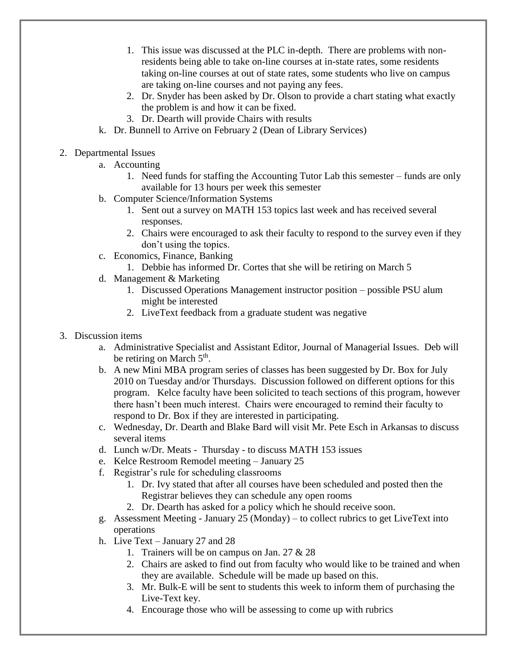- 1. This issue was discussed at the PLC in-depth. There are problems with nonresidents being able to take on-line courses at in-state rates, some residents taking on-line courses at out of state rates, some students who live on campus are taking on-line courses and not paying any fees.
- 2. Dr. Snyder has been asked by Dr. Olson to provide a chart stating what exactly the problem is and how it can be fixed.
- 3. Dr. Dearth will provide Chairs with results
- k. Dr. Bunnell to Arrive on February 2 (Dean of Library Services)
- 2. Departmental Issues
	- a. Accounting
		- 1. Need funds for staffing the Accounting Tutor Lab this semester funds are only available for 13 hours per week this semester
	- b. Computer Science/Information Systems
		- 1. Sent out a survey on MATH 153 topics last week and has received several responses.
		- 2. Chairs were encouraged to ask their faculty to respond to the survey even if they don't using the topics.
	- c. Economics, Finance, Banking
		- 1. Debbie has informed Dr. Cortes that she will be retiring on March 5
	- d. Management & Marketing
		- 1. Discussed Operations Management instructor position possible PSU alum might be interested
		- 2. LiveText feedback from a graduate student was negative
- 3. Discussion items
	- a. Administrative Specialist and Assistant Editor, Journal of Managerial Issues. Deb will be retiring on March  $5<sup>th</sup>$ .
	- b. A new Mini MBA program series of classes has been suggested by Dr. Box for July 2010 on Tuesday and/or Thursdays. Discussion followed on different options for this program. Kelce faculty have been solicited to teach sections of this program, however there hasn't been much interest. Chairs were encouraged to remind their faculty to respond to Dr. Box if they are interested in participating.
	- c. Wednesday, Dr. Dearth and Blake Bard will visit Mr. Pete Esch in Arkansas to discuss several items
	- d. Lunch w/Dr. Meats Thursday to discuss MATH 153 issues
	- e. Kelce Restroom Remodel meeting January 25
	- f. Registrar's rule for scheduling classrooms
		- 1. Dr. Ivy stated that after all courses have been scheduled and posted then the Registrar believes they can schedule any open rooms
		- 2. Dr. Dearth has asked for a policy which he should receive soon.
	- g. Assessment Meeting January 25 (Monday) to collect rubrics to get LiveText into operations
	- h. Live Text January 27 and 28
		- 1. Trainers will be on campus on Jan. 27 & 28
		- 2. Chairs are asked to find out from faculty who would like to be trained and when they are available. Schedule will be made up based on this.
		- 3. Mr. Bulk-E will be sent to students this week to inform them of purchasing the Live-Text key.
		- 4. Encourage those who will be assessing to come up with rubrics